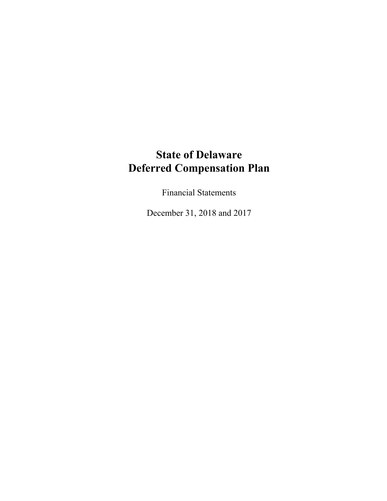Financial Statements

December 31, 2018 and 2017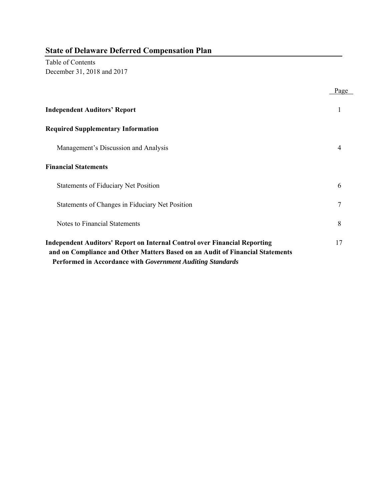Table of Contents December 31, 2018 and 2017

|                                                                                                                                                                                                                                 | Page |
|---------------------------------------------------------------------------------------------------------------------------------------------------------------------------------------------------------------------------------|------|
| <b>Independent Auditors' Report</b>                                                                                                                                                                                             |      |
| <b>Required Supplementary Information</b>                                                                                                                                                                                       |      |
| Management's Discussion and Analysis                                                                                                                                                                                            | 4    |
| <b>Financial Statements</b>                                                                                                                                                                                                     |      |
| <b>Statements of Fiduciary Net Position</b>                                                                                                                                                                                     | 6    |
| Statements of Changes in Fiduciary Net Position                                                                                                                                                                                 | 7    |
| Notes to Financial Statements                                                                                                                                                                                                   | 8    |
| <b>Independent Auditors' Report on Internal Control over Financial Reporting</b><br>and on Compliance and Other Matters Based on an Audit of Financial Statements<br>Performed in Accordance with Government Auditing Standards | 17   |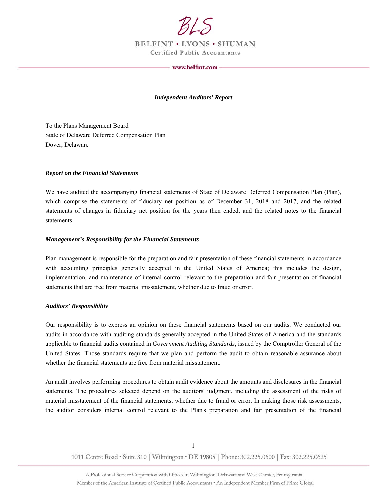

BELFINT . LYONS . SHUMAN **Certified Public Accountants** 

#### www.belfint.com -

#### *Independent Auditors' Report*

To the Plans Management Board State of Delaware Deferred Compensation Plan Dover, Delaware

#### *Report on the Financial Statements*

We have audited the accompanying financial statements of State of Delaware Deferred Compensation Plan (Plan), which comprise the statements of fiduciary net position as of December 31, 2018 and 2017, and the related statements of changes in fiduciary net position for the years then ended, and the related notes to the financial statements.

#### *Management's Responsibility for the Financial Statements*

Plan management is responsible for the preparation and fair presentation of these financial statements in accordance with accounting principles generally accepted in the United States of America; this includes the design, implementation, and maintenance of internal control relevant to the preparation and fair presentation of financial statements that are free from material misstatement, whether due to fraud or error.

#### *Auditors' Responsibility*

Our responsibility is to express an opinion on these financial statements based on our audits. We conducted our audits in accordance with auditing standards generally accepted in the United States of America and the standards applicable to financial audits contained in *Government Auditing Standards*, issued by the Comptroller General of the United States. Those standards require that we plan and perform the audit to obtain reasonable assurance about whether the financial statements are free from material misstatement.

An audit involves performing procedures to obtain audit evidence about the amounts and disclosures in the financial statements. The procedures selected depend on the auditors' judgment, including the assessment of the risks of material misstatement of the financial statements, whether due to fraud or error. In making those risk assessments, the auditor considers internal control relevant to the Plan's preparation and fair presentation of the financial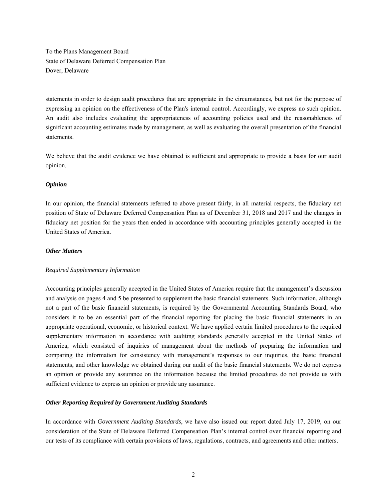To the Plans Management Board State of Delaware Deferred Compensation Plan Dover, Delaware

statements in order to design audit procedures that are appropriate in the circumstances, but not for the purpose of expressing an opinion on the effectiveness of the Plan's internal control. Accordingly, we express no such opinion. An audit also includes evaluating the appropriateness of accounting policies used and the reasonableness of significant accounting estimates made by management, as well as evaluating the overall presentation of the financial statements.

We believe that the audit evidence we have obtained is sufficient and appropriate to provide a basis for our audit opinion.

#### *Opinion*

In our opinion, the financial statements referred to above present fairly, in all material respects, the fiduciary net position of State of Delaware Deferred Compensation Plan as of December 31, 2018 and 2017 and the changes in fiduciary net position for the years then ended in accordance with accounting principles generally accepted in the United States of America.

#### *Other Matters*

#### *Required Supplementary Information*

Accounting principles generally accepted in the United States of America require that the management's discussion and analysis on pages 4 and 5 be presented to supplement the basic financial statements. Such information, although not a part of the basic financial statements, is required by the Governmental Accounting Standards Board, who considers it to be an essential part of the financial reporting for placing the basic financial statements in an appropriate operational, economic, or historical context. We have applied certain limited procedures to the required supplementary information in accordance with auditing standards generally accepted in the United States of America, which consisted of inquiries of management about the methods of preparing the information and comparing the information for consistency with management's responses to our inquiries, the basic financial statements, and other knowledge we obtained during our audit of the basic financial statements. We do not express an opinion or provide any assurance on the information because the limited procedures do not provide us with sufficient evidence to express an opinion or provide any assurance.

#### *Other Reporting Required by Government Auditing Standards*

In accordance with *Government Auditing Standards*, we have also issued our report dated July 17, 2019, on our consideration of the State of Delaware Deferred Compensation Plan's internal control over financial reporting and our tests of its compliance with certain provisions of laws, regulations, contracts, and agreements and other matters.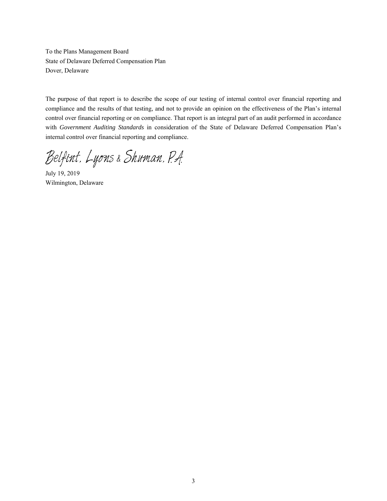To the Plans Management Board State of Delaware Deferred Compensation Plan Dover, Delaware

The purpose of that report is to describe the scope of our testing of internal control over financial reporting and compliance and the results of that testing, and not to provide an opinion on the effectiveness of the Plan's internal control over financial reporting or on compliance. That report is an integral part of an audit performed in accordance with *Government Auditing Standards* in consideration of the State of Delaware Deferred Compensation Plan's internal control over financial reporting and compliance.

Belfint, Lyons & Shuman, P.A.

July 19, 2019 Wilmington, Delaware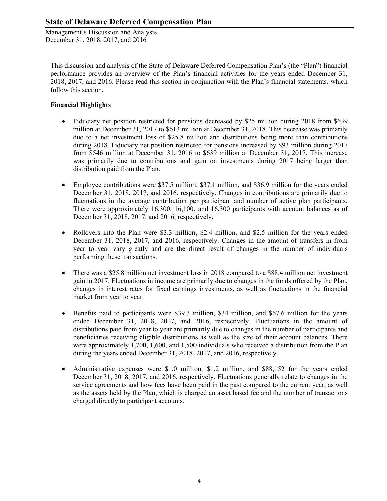Management's Discussion and Analysis December 31, 2018, 2017, and 2016

This discussion and analysis of the State of Delaware Deferred Compensation Plan's (the "Plan") financial performance provides an overview of the Plan's financial activities for the years ended December 31, 2018, 2017, and 2016. Please read this section in conjunction with the Plan's financial statements, which follow this section.

## **Financial Highlights**

- Fiduciary net position restricted for pensions decreased by \$25 million during 2018 from \$639 million at December 31, 2017 to \$613 million at December 31, 2018. This decrease was primarily due to a net investment loss of \$25.8 million and distributions being more than contributions during 2018. Fiduciary net position restricted for pensions increased by \$93 million during 2017 from \$546 million at December 31, 2016 to \$639 million at December 31, 2017. This increase was primarily due to contributions and gain on investments during 2017 being larger than distribution paid from the Plan.
- Employee contributions were \$37.5 million, \$37.1 million, and \$36.9 million for the years ended December 31, 2018, 2017, and 2016, respectively. Changes in contributions are primarily due to fluctuations in the average contribution per participant and number of active plan participants. There were approximately 16,300, 16,100, and 16,300 participants with account balances as of December 31, 2018, 2017, and 2016, respectively.
- Rollovers into the Plan were \$3.3 million, \$2.4 million, and \$2.5 million for the years ended December 31, 2018, 2017, and 2016, respectively. Changes in the amount of transfers in from year to year vary greatly and are the direct result of changes in the number of individuals performing these transactions.
- There was a \$25.8 million net investment loss in 2018 compared to a \$88.4 million net investment gain in 2017. Fluctuations in income are primarily due to changes in the funds offered by the Plan, changes in interest rates for fixed earnings investments, as well as fluctuations in the financial market from year to year.
- Benefits paid to participants were \$39.3 million, \$34 million, and \$67.6 million for the years ended December 31, 2018, 2017, and 2016, respectively. Fluctuations in the amount of distributions paid from year to year are primarily due to changes in the number of participants and beneficiaries receiving eligible distributions as well as the size of their account balances. There were approximately 1,700, 1,600, and 1,500 individuals who received a distribution from the Plan during the years ended December 31, 2018, 2017, and 2016, respectively.
- Administrative expenses were \$1.0 million, \$1.2 million, and \$88,152 for the years ended December 31, 2018, 2017, and 2016, respectively. Fluctuations generally relate to changes in the service agreements and how fees have been paid in the past compared to the current year, as well as the assets held by the Plan, which is charged an asset based fee and the number of transactions charged directly to participant accounts.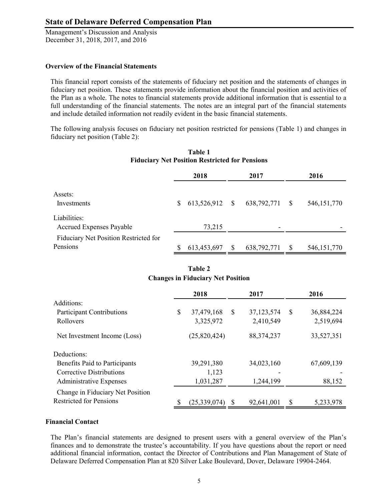Management's Discussion and Analysis December 31, 2018, 2017, and 2016

#### **Overview of the Financial Statements**

This financial report consists of the statements of fiduciary net position and the statements of changes in fiduciary net position. These statements provide information about the financial position and activities of the Plan as a whole. The notes to financial statements provide additional information that is essential to a full understanding of the financial statements. The notes are an integral part of the financial statements and include detailed information not readily evident in the basic financial statements.

The following analysis focuses on fiduciary net position restricted for pensions (Table 1) and changes in fiduciary net position (Table 2):

|                                                   | 2018   |                | 2017         |             | 2016 |               |
|---------------------------------------------------|--------|----------------|--------------|-------------|------|---------------|
| Assets:<br>Investments                            | S.     | 613,526,912 \$ |              | 638,792,771 | - S  | 546, 151, 770 |
| Liabilities:<br><b>Accrued Expenses Payable</b>   | 73,215 |                |              |             |      |               |
| Fiduciary Net Position Restricted for<br>Pensions |        | 613,453,697    | $\mathbb{S}$ | 638,792,771 |      | 546, 151, 770 |

#### **Table 1 Fiduciary Net Position Restricted for Pensions**

## **Table 2 Changes in Fiduciary Net Position**

|                                  | 2018                 |               | 2017         |   | 2016       |
|----------------------------------|----------------------|---------------|--------------|---|------------|
| Additions:                       |                      |               |              |   |            |
| <b>Participant Contributions</b> | \$<br>37,479,168     | $\mathcal{S}$ | 37,123,574   | S | 36,884,224 |
| Rollovers                        | 3,325,972            |               | 2,410,549    |   | 2,519,694  |
| Net Investment Income (Loss)     | (25,820,424)         |               | 88, 374, 237 |   | 33,527,351 |
| Deductions:                      |                      |               |              |   |            |
| Benefits Paid to Participants    | 39,291,380           |               | 34,023,160   |   | 67,609,139 |
| Corrective Distributions         | 1,123                |               |              |   |            |
| <b>Administrative Expenses</b>   | 1,031,287            |               | 1,244,199    |   | 88,152     |
| Change in Fiduciary Net Position |                      |               |              |   |            |
| <b>Restricted for Pensions</b>   | \$<br>(25, 339, 074) | S             | 92,641,001   | S | 5,233,978  |

#### **Financial Contact**

The Plan's financial statements are designed to present users with a general overview of the Plan's finances and to demonstrate the trustee's accountability. If you have questions about the report or need additional financial information, contact the Director of Contributions and Plan Management of State of Delaware Deferred Compensation Plan at 820 Silver Lake Boulevard, Dover, Delaware 19904-2464.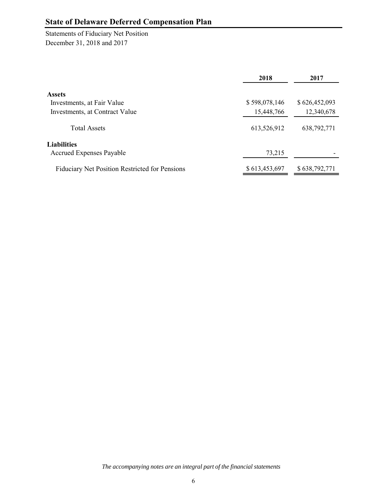Statements of Fiduciary Net Position December 31, 2018 and 2017

|                                                       | 2018          | 2017          |
|-------------------------------------------------------|---------------|---------------|
| <b>Assets</b>                                         |               |               |
| Investments, at Fair Value                            | \$598,078,146 | \$626,452,093 |
| Investments, at Contract Value                        | 15,448,766    | 12,340,678    |
| <b>Total Assets</b>                                   | 613,526,912   | 638,792,771   |
| <b>Liabilities</b><br><b>Accrued Expenses Payable</b> | 73,215        |               |
| Fiduciary Net Position Restricted for Pensions        | \$613,453,697 | \$638,792,771 |

*The accompanying notes are an integral part of the financial statements*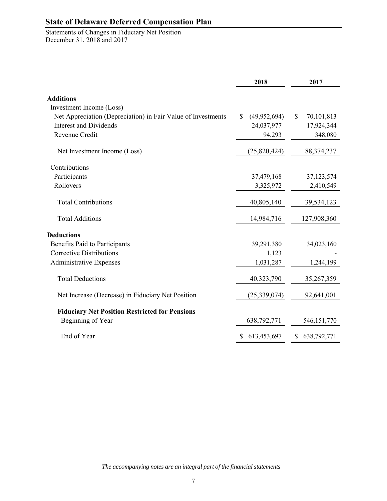Statements of Changes in Fiduciary Net Position December 31, 2018 and 2017

|                                                              | 2018                            | 2017                       |  |
|--------------------------------------------------------------|---------------------------------|----------------------------|--|
|                                                              |                                 |                            |  |
| <b>Additions</b>                                             |                                 |                            |  |
| Investment Income (Loss)                                     |                                 |                            |  |
| Net Appreciation (Depreciation) in Fair Value of Investments | $\mathcal{S}$<br>(49, 952, 694) | $\mathbb{S}$<br>70,101,813 |  |
| <b>Interest and Dividends</b>                                | 24,037,977                      | 17,924,344                 |  |
| Revenue Credit                                               | 94,293                          | 348,080                    |  |
| Net Investment Income (Loss)                                 | (25,820,424)                    | 88, 374, 237               |  |
| Contributions                                                |                                 |                            |  |
| Participants                                                 | 37,479,168                      | 37,123,574                 |  |
| Rollovers                                                    | 3,325,972                       | 2,410,549                  |  |
| <b>Total Contributions</b>                                   | 40,805,140                      | 39,534,123                 |  |
| <b>Total Additions</b>                                       | 14,984,716                      | 127,908,360                |  |
| <b>Deductions</b>                                            |                                 |                            |  |
| Benefits Paid to Participants                                | 39,291,380                      | 34,023,160                 |  |
| <b>Corrective Distributions</b>                              | 1,123                           |                            |  |
| <b>Administrative Expenses</b>                               | 1,031,287                       | 1,244,199                  |  |
| <b>Total Deductions</b>                                      | 40,323,790                      | 35,267,359                 |  |
| Net Increase (Decrease) in Fiduciary Net Position            | (25, 339, 074)                  | 92,641,001                 |  |
| <b>Fiduciary Net Position Restricted for Pensions</b>        |                                 |                            |  |
|                                                              |                                 |                            |  |
| Beginning of Year                                            | 638,792,771                     | 546,151,770                |  |
| End of Year                                                  | 613,453,697                     | 638,792,771                |  |

*The accompanying notes are an integral part of the financial statements*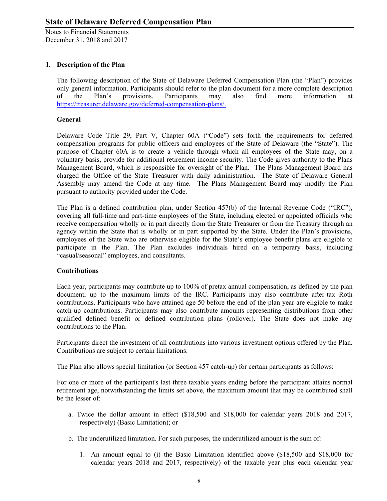### **1. Description of the Plan**

The following description of the State of Delaware Deferred Compensation Plan (the "Plan") provides only general information. Participants should refer to the plan document for a more complete description of the Plan's provisions. Participants may also find more information at https://treasurer.delaware.gov/deferred-compensation-plans/.

#### **General**

Delaware Code Title 29, Part V, Chapter 60A ("Code") sets forth the requirements for deferred compensation programs for public officers and employees of the State of Delaware (the "State"). The purpose of Chapter 60A is to create a vehicle through which all employees of the State may, on a voluntary basis, provide for additional retirement income security. The Code gives authority to the Plans Management Board, which is responsible for oversight of the Plan. The Plans Management Board has charged the Office of the State Treasurer with daily administration. The State of Delaware General Assembly may amend the Code at any time. The Plans Management Board may modify the Plan pursuant to authority provided under the Code.

The Plan is a defined contribution plan, under Section 457(b) of the Internal Revenue Code ("IRC"), covering all full-time and part-time employees of the State, including elected or appointed officials who receive compensation wholly or in part directly from the State Treasurer or from the Treasury through an agency within the State that is wholly or in part supported by the State. Under the Plan's provisions, employees of the State who are otherwise eligible for the State's employee benefit plans are eligible to participate in the Plan. The Plan excludes individuals hired on a temporary basis, including "casual/seasonal" employees, and consultants.

#### **Contributions**

Each year, participants may contribute up to 100% of pretax annual compensation, as defined by the plan document, up to the maximum limits of the IRC. Participants may also contribute after-tax Roth contributions. Participants who have attained age 50 before the end of the plan year are eligible to make catch-up contributions. Participants may also contribute amounts representing distributions from other qualified defined benefit or defined contribution plans (rollover). The State does not make any contributions to the Plan.

Participants direct the investment of all contributions into various investment options offered by the Plan. Contributions are subject to certain limitations.

The Plan also allows special limitation (or Section 457 catch-up) for certain participants as follows:

For one or more of the participant's last three taxable years ending before the participant attains normal retirement age, notwithstanding the limits set above, the maximum amount that may be contributed shall be the lesser of:

- a. Twice the dollar amount in effect (\$18,500 and \$18,000 for calendar years 2018 and 2017, respectively) (Basic Limitation); or
- b. The underutilized limitation. For such purposes, the underutilized amount is the sum of:
	- 1. An amount equal to (i) the Basic Limitation identified above (\$18,500 and \$18,000 for calendar years 2018 and 2017, respectively) of the taxable year plus each calendar year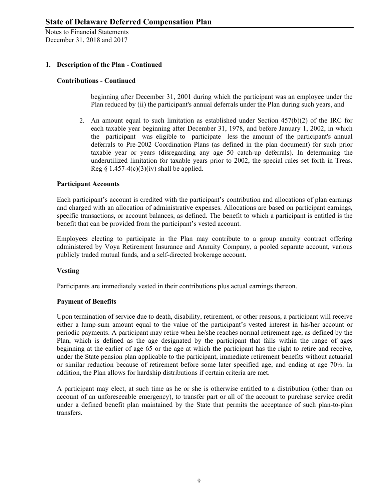## **1. Description of the Plan - Continued**

### **Contributions - Continued**

beginning after December 31, 2001 during which the participant was an employee under the Plan reduced by (ii) the participant's annual deferrals under the Plan during such years, and

2. An amount equal to such limitation as established under Section 457(b)(2) of the IRC for each taxable year beginning after December 31, 1978, and before January 1, 2002, in which the participant was eligible to participate less the amount of the participant's annual deferrals to Pre-2002 Coordination Plans (as defined in the plan document) for such prior taxable year or years (disregarding any age 50 catch-up deferrals). In determining the underutilized limitation for taxable years prior to 2002, the special rules set forth in Treas. Reg  $§$  1.457-4(c)(3)(iv) shall be applied.

## **Participant Accounts**

Each participant's account is credited with the participant's contribution and allocations of plan earnings and charged with an allocation of administrative expenses. Allocations are based on participant earnings, specific transactions, or account balances, as defined. The benefit to which a participant is entitled is the benefit that can be provided from the participant's vested account.

Employees electing to participate in the Plan may contribute to a group annuity contract offering administered by Voya Retirement Insurance and Annuity Company, a pooled separate account, various publicly traded mutual funds, and a self-directed brokerage account.

## **Vesting**

Participants are immediately vested in their contributions plus actual earnings thereon.

## **Payment of Benefits**

Upon termination of service due to death, disability, retirement, or other reasons, a participant will receive either a lump-sum amount equal to the value of the participant's vested interest in his/her account or periodic payments. A participant may retire when he/she reaches normal retirement age, as defined by the Plan, which is defined as the age designated by the participant that falls within the range of ages beginning at the earlier of age 65 or the age at which the participant has the right to retire and receive, under the State pension plan applicable to the participant, immediate retirement benefits without actuarial or similar reduction because of retirement before some later specified age, and ending at age 70½. In addition, the Plan allows for hardship distributions if certain criteria are met.

A participant may elect, at such time as he or she is otherwise entitled to a distribution (other than on account of an unforeseeable emergency), to transfer part or all of the account to purchase service credit under a defined benefit plan maintained by the State that permits the acceptance of such plan-to-plan transfers.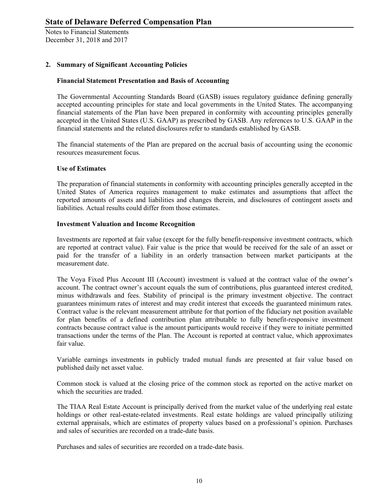### **2. Summary of Significant Accounting Policies**

#### **Financial Statement Presentation and Basis of Accounting**

The Governmental Accounting Standards Board (GASB) issues regulatory guidance defining generally accepted accounting principles for state and local governments in the United States. The accompanying financial statements of the Plan have been prepared in conformity with accounting principles generally accepted in the United States (U.S. GAAP) as prescribed by GASB. Any references to U.S. GAAP in the financial statements and the related disclosures refer to standards established by GASB.

The financial statements of the Plan are prepared on the accrual basis of accounting using the economic resources measurement focus.

#### **Use of Estimates**

The preparation of financial statements in conformity with accounting principles generally accepted in the United States of America requires management to make estimates and assumptions that affect the reported amounts of assets and liabilities and changes therein, and disclosures of contingent assets and liabilities. Actual results could differ from those estimates.

#### **Investment Valuation and Income Recognition**

Investments are reported at fair value (except for the fully benefit-responsive investment contracts, which are reported at contract value). Fair value is the price that would be received for the sale of an asset or paid for the transfer of a liability in an orderly transaction between market participants at the measurement date.

The Voya Fixed Plus Account III (Account) investment is valued at the contract value of the owner's account. The contract owner's account equals the sum of contributions, plus guaranteed interest credited, minus withdrawals and fees. Stability of principal is the primary investment objective. The contract guarantees minimum rates of interest and may credit interest that exceeds the guaranteed minimum rates. Contract value is the relevant measurement attribute for that portion of the fiduciary net position available for plan benefits of a defined contribution plan attributable to fully benefit-responsive investment contracts because contract value is the amount participants would receive if they were to initiate permitted transactions under the terms of the Plan. The Account is reported at contract value, which approximates fair value.

Variable earnings investments in publicly traded mutual funds are presented at fair value based on published daily net asset value.

Common stock is valued at the closing price of the common stock as reported on the active market on which the securities are traded.

The TIAA Real Estate Account is principally derived from the market value of the underlying real estate holdings or other real-estate-related investments. Real estate holdings are valued principally utilizing external appraisals, which are estimates of property values based on a professional's opinion. Purchases and sales of securities are recorded on a trade-date basis.

Purchases and sales of securities are recorded on a trade-date basis.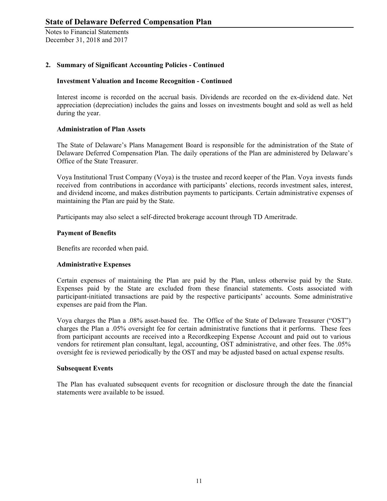#### **2. Summary of Significant Accounting Policies - Continued**

#### **Investment Valuation and Income Recognition - Continued**

Interest income is recorded on the accrual basis. Dividends are recorded on the ex-dividend date. Net appreciation (depreciation) includes the gains and losses on investments bought and sold as well as held during the year.

### **Administration of Plan Assets**

The State of Delaware's Plans Management Board is responsible for the administration of the State of Delaware Deferred Compensation Plan. The daily operations of the Plan are administered by Delaware's Office of the State Treasurer.

Voya Institutional Trust Company (Voya) is the trustee and record keeper of the Plan. Voya invests funds received from contributions in accordance with participants' elections, records investment sales, interest, and dividend income, and makes distribution payments to participants. Certain administrative expenses of maintaining the Plan are paid by the State.

Participants may also select a self-directed brokerage account through TD Ameritrade.

### **Payment of Benefits**

Benefits are recorded when paid.

## **Administrative Expenses**

Certain expenses of maintaining the Plan are paid by the Plan, unless otherwise paid by the State. Expenses paid by the State are excluded from these financial statements. Costs associated with participant-initiated transactions are paid by the respective participants' accounts. Some administrative expenses are paid from the Plan.

Voya charges the Plan a .08% asset-based fee. The Office of the State of Delaware Treasurer ("OST") charges the Plan a .05% oversight fee for certain administrative functions that it performs. These fees from participant accounts are received into a Recordkeeping Expense Account and paid out to various vendors for retirement plan consultant, legal, accounting, OST administrative, and other fees. The .05% oversight fee is reviewed periodically by the OST and may be adjusted based on actual expense results.

#### **Subsequent Events**

The Plan has evaluated subsequent events for recognition or disclosure through the date the financial statements were available to be issued.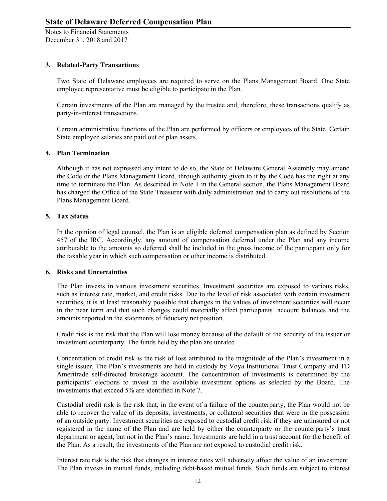#### **3. Related-Party Transactions**

Two State of Delaware employees are required to serve on the Plans Management Board. One State employee representative must be eligible to participate in the Plan.

Certain investments of the Plan are managed by the trustee and, therefore, these transactions qualify as party-in-interest transactions.

Certain administrative functions of the Plan are performed by officers or employees of the State. Certain State employee salaries are paid out of plan assets.

### **4. Plan Termination**

Although it has not expressed any intent to do so, the State of Delaware General Assembly may amend the Code or the Plans Management Board, through authority given to it by the Code has the right at any time to terminate the Plan. As described in Note 1 in the General section, the Plans Management Board has charged the Office of the State Treasurer with daily administration and to carry out resolutions of the Plans Management Board.

### **5. Tax Status**

In the opinion of legal counsel, the Plan is an eligible deferred compensation plan as defined by Section 457 of the IRC. Accordingly, any amount of compensation deferred under the Plan and any income attributable to the amounts so deferred shall be included in the gross income of the participant only for the taxable year in which such compensation or other income is distributed.

### **6. Risks and Uncertainties**

The Plan invests in various investment securities. Investment securities are exposed to various risks, such as interest rate, market, and credit risks. Due to the level of risk associated with certain investment securities, it is at least reasonably possible that changes in the values of investment securities will occur in the near term and that such changes could materially affect participants' account balances and the amounts reported in the statements of fiduciary net position.

Credit risk is the risk that the Plan will lose money because of the default of the security of the issuer or investment counterparty. The funds held by the plan are unrated

Concentration of credit risk is the risk of loss attributed to the magnitude of the Plan's investment in a single issuer. The Plan's investments are held in custody by Voya Institutional Trust Company and TD Ameritrade self-directed brokerage account. The concentration of investments is determined by the participants' elections to invest in the available investment options as selected by the Board. The investments that exceed 5% are identified in Note 7.

Custodial credit risk is the risk that, in the event of a failure of the counterparty, the Plan would not be able to recover the value of its deposits, investments, or collateral securities that were in the possession of an outside party. Investment securities are exposed to custodial credit risk if they are uninsured or not registered in the name of the Plan and are held by either the counterparty or the counterparty's trust department or agent, but not in the Plan's name. Investments are held in a trust account for the benefit of the Plan. As a result, the investments of the Plan are not exposed to custodial credit risk.

Interest rate risk is the risk that changes in interest rates will adversely affect the value of an investment. The Plan invests in mutual funds, including debt-based mutual funds. Such funds are subject to interest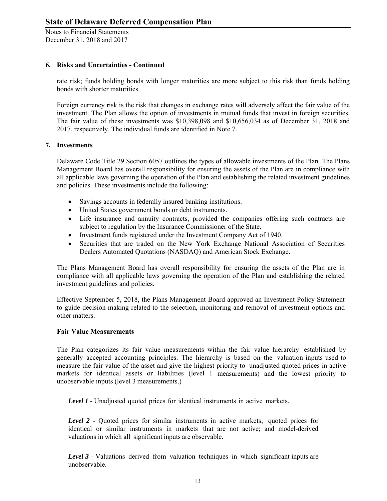#### **6. Risks and Uncertainties - Continued**

rate risk; funds holding bonds with longer maturities are more subject to this risk than funds holding bonds with shorter maturities.

Foreign currency risk is the risk that changes in exchange rates will adversely affect the fair value of the investment. The Plan allows the option of investments in mutual funds that invest in foreign securities. The fair value of these investments was \$10,398,098 and \$10,656,034 as of December 31, 2018 and 2017, respectively. The individual funds are identified in Note 7.

### **7. Investments**

Delaware Code Title 29 Section 6057 outlines the types of allowable investments of the Plan. The Plans Management Board has overall responsibility for ensuring the assets of the Plan are in compliance with all applicable laws governing the operation of the Plan and establishing the related investment guidelines and policies. These investments include the following:

- Savings accounts in federally insured banking institutions.
- United States government bonds or debt instruments.
- Life insurance and annuity contracts, provided the companies offering such contracts are subject to regulation by the Insurance Commissioner of the State.
- Investment funds registered under the Investment Company Act of 1940.
- Securities that are traded on the New York Exchange National Association of Securities Dealers Automated Quotations (NASDAQ) and American Stock Exchange.

The Plans Management Board has overall responsibility for ensuring the assets of the Plan are in compliance with all applicable laws governing the operation of the Plan and establishing the related investment guidelines and policies.

Effective September 5, 2018, the Plans Management Board approved an Investment Policy Statement to guide decision-making related to the selection, monitoring and removal of investment options and other matters.

### **Fair Value Measurements**

The Plan categorizes its fair value measurements within the fair value hierarchy established by generally accepted accounting principles. The hierarchy is based on the valuation inputs used to measure the fair value of the asset and give the highest priority to unadjusted quoted prices in active markets for identical assets or liabilities (level 1 measurements) and the lowest priority to unobservable inputs (level 3 measurements.)

*Level 1* - Unadjusted quoted prices for identical instruments in active markets.

*Level 2* - Quoted prices for similar instruments in active markets; quoted prices for identical or similar instruments in markets that are not active; and model-derived valuations in which all significant inputs are observable.

*Level 3* - Valuations derived from valuation techniques in which significant inputs are unobservable.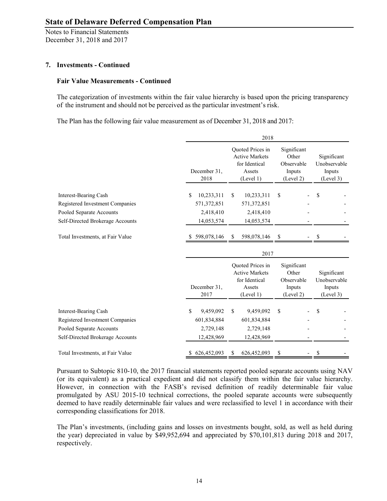### **7. Investments - Continued**

#### **Fair Value Measurements - Continued**

The categorization of investments within the fair value hierarchy is based upon the pricing transparency of the instrument and should not be perceived as the particular investment's risk.

The Plan has the following fair value measurement as of December 31, 2018 and 2017:

|                                  |                      | 2018                                                                              |                                                           |                                                    |  |  |  |  |
|----------------------------------|----------------------|-----------------------------------------------------------------------------------|-----------------------------------------------------------|----------------------------------------------------|--|--|--|--|
|                                  | December 31,<br>2018 | Quoted Prices in<br><b>Active Markets</b><br>for Identical<br>Assets<br>(Level 1) | Significant<br>Other<br>Observable<br>Inputs<br>(Level 2) | Significant<br>Unobservable<br>Inputs<br>(Level 3) |  |  |  |  |
| Interest-Bearing Cash            | 10,233,311<br>S      | \$<br>10,233,311                                                                  | \$                                                        | \$                                                 |  |  |  |  |
| Registered Investment Companies  | 571,372,851          | 571,372,851                                                                       |                                                           |                                                    |  |  |  |  |
| Pooled Separate Accounts         | 2,418,410            | 2,418,410                                                                         |                                                           |                                                    |  |  |  |  |
| Self-Directed Brokerage Accounts | 14,053,574           | 14,053,574                                                                        |                                                           |                                                    |  |  |  |  |
| Total Investments, at Fair Value | 598,078,146          | 598,078,146<br><sup>\$</sup>                                                      | \$                                                        | S                                                  |  |  |  |  |
|                                  |                      | 2017                                                                              |                                                           |                                                    |  |  |  |  |
|                                  | December 31,<br>2017 | Quoted Prices in<br><b>Active Markets</b><br>for Identical<br>Assets<br>(Level 1) | Significant<br>Other<br>Observable<br>Inputs<br>(Level 2) | Significant<br>Unobservable<br>Inputs<br>(Level 3) |  |  |  |  |
| Interest-Bearing Cash            | \$<br>9,459,092      | \$<br>9,459,092                                                                   | <sup>\$</sup>                                             | \$                                                 |  |  |  |  |
| Registered Investment Companies  | 601,834,884          | 601,834,884                                                                       |                                                           |                                                    |  |  |  |  |
| Pooled Separate Accounts         | 2,729,148            | 2,729,148                                                                         |                                                           |                                                    |  |  |  |  |
| Self-Directed Brokerage Accounts | 12,428,969           | 12,428,969                                                                        |                                                           |                                                    |  |  |  |  |
| Total Investments, at Fair Value | 626,452,093          | 626,452,093                                                                       | \$                                                        | \$                                                 |  |  |  |  |

Pursuant to Subtopic 810-10, the 2017 financial statements reported pooled separate accounts using NAV (or its equivalent) as a practical expedient and did not classify them within the fair value hierarchy. However, in connection with the FASB's revised definition of readily determinable fair value promulgated by ASU 2015-10 technical corrections, the pooled separate accounts were subsequently deemed to have readily determinable fair values and were reclassified to level 1 in accordance with their corresponding classifications for 2018.

The Plan's investments, (including gains and losses on investments bought, sold, as well as held during the year) depreciated in value by \$49,952,694 and appreciated by \$70,101,813 during 2018 and 2017, respectively.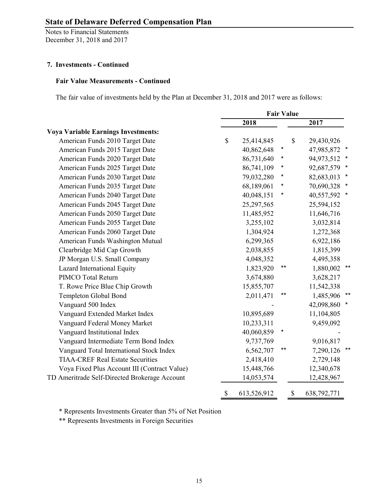Notes to Financial Statements December 31, 2018 and 2017

#### **7. Investments - Continued**

#### **Fair Value Measurements - Continued**

The fair value of investments held by the Plan at December 31, 2018 and 2017 were as follows:

|                                               | <b>Fair Value</b> |              |    |              |       |
|-----------------------------------------------|-------------------|--------------|----|--------------|-------|
|                                               | 2018              |              |    | 2017         |       |
| <b>Voya Variable Earnings Investments:</b>    |                   |              |    |              |       |
| American Funds 2010 Target Date               | \$<br>25,414,845  |              | \$ | 29,430,926   |       |
| American Funds 2015 Target Date               | 40,862,648        | *            |    | 47,985,872 * |       |
| American Funds 2020 Target Date               | 86,731,640        | *            |    | 94,973,512 * |       |
| American Funds 2025 Target Date               | 86,741,109        | *            |    | 92,687,579   |       |
| American Funds 2030 Target Date               | 79,032,280        | *            |    | 82,683,013   |       |
| American Funds 2035 Target Date               | 68,189,061        | $\ast$       |    | 70,690,328   |       |
| American Funds 2040 Target Date               | 40,048,151        | *            |    | 40,557,592 * |       |
| American Funds 2045 Target Date               | 25,297,565        |              |    | 25,594,152   |       |
| American Funds 2050 Target Date               | 11,485,952        |              |    | 11,646,716   |       |
| American Funds 2055 Target Date               | 3,255,102         |              |    | 3,032,814    |       |
| American Funds 2060 Target Date               | 1,304,924         |              |    | 1,272,368    |       |
| American Funds Washington Mutual              | 6,299,365         |              |    | 6,922,186    |       |
| Clearbridge Mid Cap Growth                    | 2,038,855         |              |    | 1,815,399    |       |
| JP Morgan U.S. Small Company                  | 4,048,352         |              |    | 4,495,358    |       |
| Lazard International Equity                   | 1,823,920         | $\star\star$ |    | 1,880,002    | $***$ |
| PIMCO Total Return                            | 3,674,880         |              |    | 3,628,217    |       |
| T. Rowe Price Blue Chip Growth                | 15,855,707        |              |    | 11,542,338   |       |
| Templeton Global Bond                         | 2,011,471         | **           |    | 1,485,906    |       |
| Vanguard 500 Index                            |                   |              |    | 42,098,860 * |       |
| Vanguard Extended Market Index                | 10,895,689        |              |    | 11,104,805   |       |
| Vanguard Federal Money Market                 | 10,233,311        |              |    | 9,459,092    |       |
| Vanguard Institutional Index                  | 40,060,859        | *            |    |              |       |
| Vanguard Intermediate Term Bond Index         | 9,737,769         |              |    | 9,016,817    |       |
| Vanguard Total International Stock Index      | 6,562,707         | $\star\star$ |    | 7,290,126    |       |
| <b>TIAA-CREF Real Estate Securities</b>       | 2,418,410         |              |    | 2,729,148    |       |
| Voya Fixed Plus Account III (Contract Value)  | 15,448,766        |              |    | 12,340,678   |       |
| TD Ameritrade Self-Directed Brokerage Account | 14,053,574        |              |    | 12,428,967   |       |
|                                               | \$<br>613,526,912 |              | \$ | 638,792,771  |       |

\* Represents Investments Greater than 5% of Net Position

\*\* Represents Investments in Foreign Securities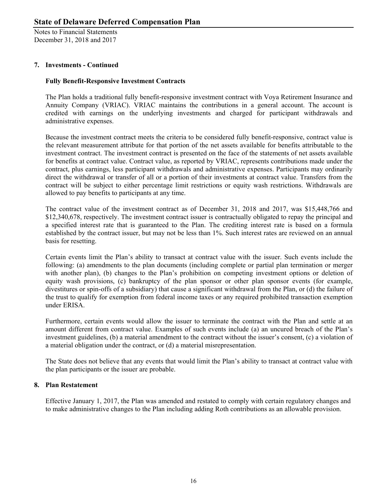#### **7. Investments - Continued**

#### **Fully Benefit-Responsive Investment Contracts**

The Plan holds a traditional fully benefit-responsive investment contract with Voya Retirement Insurance and Annuity Company (VRIAC). VRIAC maintains the contributions in a general account. The account is credited with earnings on the underlying investments and charged for participant withdrawals and administrative expenses.

Because the investment contract meets the criteria to be considered fully benefit-responsive, contract value is the relevant measurement attribute for that portion of the net assets available for benefits attributable to the investment contract. The investment contract is presented on the face of the statements of net assets available for benefits at contract value. Contract value, as reported by VRIAC, represents contributions made under the contract, plus earnings, less participant withdrawals and administrative expenses. Participants may ordinarily direct the withdrawal or transfer of all or a portion of their investments at contract value. Transfers from the contract will be subject to either percentage limit restrictions or equity wash restrictions. Withdrawals are allowed to pay benefits to participants at any time.

The contract value of the investment contract as of December 31, 2018 and 2017, was \$15,448,766 and \$12,340,678, respectively. The investment contract issuer is contractually obligated to repay the principal and a specified interest rate that is guaranteed to the Plan. The crediting interest rate is based on a formula established by the contract issuer, but may not be less than 1%. Such interest rates are reviewed on an annual basis for resetting.

Certain events limit the Plan's ability to transact at contract value with the issuer. Such events include the following: (a) amendments to the plan documents (including complete or partial plan termination or merger with another plan), (b) changes to the Plan's prohibition on competing investment options or deletion of equity wash provisions, (c) bankruptcy of the plan sponsor or other plan sponsor events (for example, divestitures or spin-offs of a subsidiary) that cause a significant withdrawal from the Plan, or (d) the failure of the trust to qualify for exemption from federal income taxes or any required prohibited transaction exemption under ERISA.

Furthermore, certain events would allow the issuer to terminate the contract with the Plan and settle at an amount different from contract value. Examples of such events include (a) an uncured breach of the Plan's investment guidelines, (b) a material amendment to the contract without the issuer's consent, (c) a violation of a material obligation under the contract, or (d) a material misrepresentation.

The State does not believe that any events that would limit the Plan's ability to transact at contract value with the plan participants or the issuer are probable.

#### **8. Plan Restatement**

Effective January 1, 2017, the Plan was amended and restated to comply with certain regulatory changes and to make administrative changes to the Plan including adding Roth contributions as an allowable provision.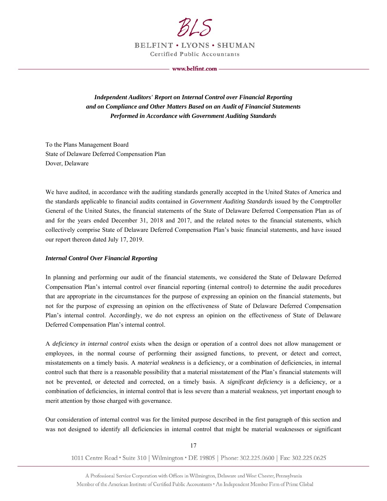

**BELFINT . LYONS . SHUMAN Certified Public Accountants** 

www.belfint.com

*Independent Auditors' Report on Internal Control over Financial Reporting and on Compliance and Other Matters Based on an Audit of Financial Statements Performed in Accordance with Government Auditing Standards* 

To the Plans Management Board State of Delaware Deferred Compensation Plan Dover, Delaware

We have audited, in accordance with the auditing standards generally accepted in the United States of America and the standards applicable to financial audits contained in *Government Auditing Standards* issued by the Comptroller General of the United States, the financial statements of the State of Delaware Deferred Compensation Plan as of and for the years ended December 31, 2018 and 2017, and the related notes to the financial statements, which collectively comprise State of Delaware Deferred Compensation Plan's basic financial statements, and have issued our report thereon dated July 17, 2019.

#### *Internal Control Over Financial Reporting*

In planning and performing our audit of the financial statements, we considered the State of Delaware Deferred Compensation Plan's internal control over financial reporting (internal control) to determine the audit procedures that are appropriate in the circumstances for the purpose of expressing an opinion on the financial statements, but not for the purpose of expressing an opinion on the effectiveness of State of Delaware Deferred Compensation Plan's internal control. Accordingly, we do not express an opinion on the effectiveness of State of Delaware Deferred Compensation Plan's internal control.

A *deficiency in internal control* exists when the design or operation of a control does not allow management or employees, in the normal course of performing their assigned functions, to prevent, or detect and correct, misstatements on a timely basis. A *material weakness* is a deficiency, or a combination of deficiencies, in internal control such that there is a reasonable possibility that a material misstatement of the Plan's financial statements will not be prevented, or detected and corrected, on a timely basis. A *significant deficiency* is a deficiency, or a combination of deficiencies, in internal control that is less severe than a material weakness, yet important enough to merit attention by those charged with governance.

Our consideration of internal control was for the limited purpose described in the first paragraph of this section and was not designed to identify all deficiencies in internal control that might be material weaknesses or significant

1011 Centre Road • Suite 310 | Wilmington • DE 19805 | Phone: 302.225.0600 | Fax: 302.225.0625